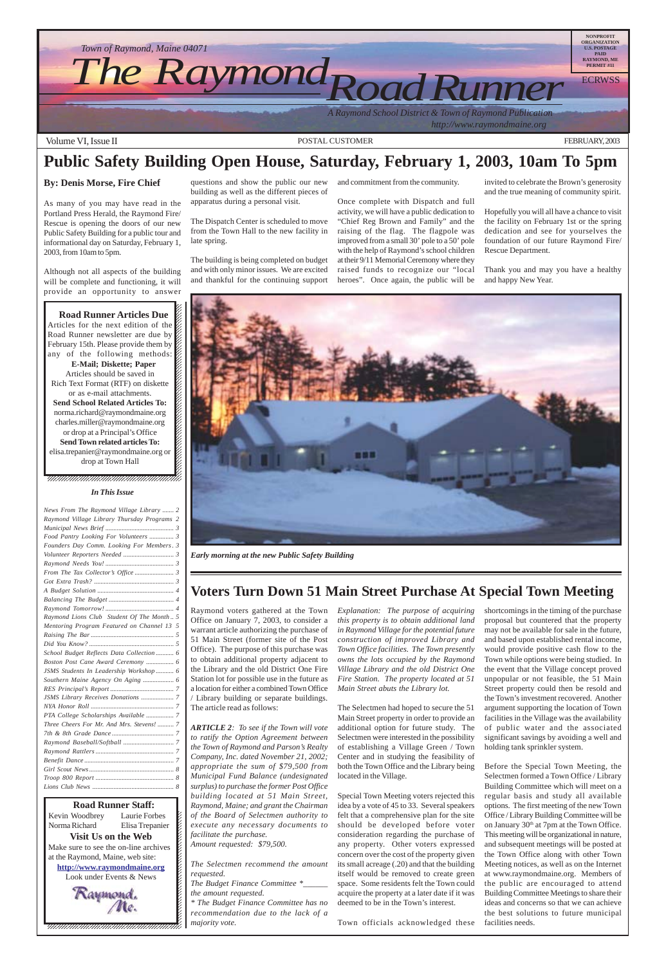



 $1235678901234567890123456789012345678901234567890123456789012345678901234567890123456789012345678901234567890123456789012345678901234567890123456789012345678901234567890123456789012345678901234567890123456789012345678901$  $\blacksquare$ 12345678901234567890123456789012123456789012345678 12345678901234567890123456789012123456789012345678

# **Public Safety Building Open House, Saturday, February 1, 2003, 10am To 5pm**

#### **By: Denis Morse, Fire Chief**

As many of you may have read in the Portland Press Herald, the Raymond Fire/ Rescue is opening the doors of our new Public Safety Building for a public tour and informational day on Saturday, February 1, 2003, from 10am to 5pm.

Although not all aspects of the building will be complete and functioning, it will provide an opportunity to answer

#### 12345678901234567890123456789012345678901234567890123456789012345678901234567890123456789012345678901234567890 12345678901234567890123456789012345678901234567890123456789012345678901234567890123456789012345678901234567890 12345678901234567890123456789012123456789012345678 12345678901234567890123456789012123456789012345678 **Road Runner Articles Due**

Articles for the next edition of the  $\mathscr{C}$ Road Runner newsletter are due by  $\mathbb{Z}$ February 15th. Please provide them by  $\cancel{\mathcal{Z}}$ any of the following methods: **E-Mail; Diskette; Paper** Articles should be saved in 12345678901234567890123456789012123456789012345678 Rich Text Format (RTF) on diskette  $\%$  $1235678901234567890123456789012345678901234567890123456789012345678901234567890123456789012345678901234567890123456789012345678901234567890123456789012345678901234567890123456789012345678901234567890123456789012345678901$ or as e-mail attachments.  $\%$  $1235678901234567890123456789012345678901234567890123456789012345678901234567890123456789012345678901234567890123456789012345678901234567890123456789012345678901234567890123456789012345678901234567890123456789012345678901$ **Send School Related Articles To:**  $1235678901234567890123456789012345678901234567890123456789012345678901234567890123456789012345678901234567890123456789012345678901234567890123456789012345678901234567890123456789012345678901234567890123456789012345678901$ norma.richard@raymondmaine.org charles.miller@raymondmaine.org or drop at a Principal's Office  $\mathbb{Z}$ **Send Town related articles To:** elisa.trepanier@raymondmaine.org or  $\mathscr{D}$  $1235678901234567890123456789012345678901234567890123456789012345678901234567890123456789012345678901234567890123456789012345678901234567890123456789012345678901234567890123456789012345678901234567890123456789012345678901$ drop at Town Hall  $\mathscr{C}$  $1235678901234567890123456789012345678901234567890123456789012345678901234567890123456789012345678901234567890123456789012345678901234567890123456789012345678901234567890123456789012345678901234567890123456789012345678901$ 

questions and show the public our new building as well as the different pieces of apparatus during a personal visit.

The Dispatch Center is scheduled to move from the Town Hall to the new facility in late spring.

The building is being completed on budget and with only minor issues. We are excited and thankful for the continuing support

and commitment from the community.

Once complete with Dispatch and full activity, we will have a public dedication to "Chief Reg Brown and Family" and the raising of the flag. The flagpole was improved from a small 30' pole to a 50' pole with the help of Raymond's school children at their 9/11 Memorial Ceremony where they raised funds to recognize our "local heroes". Once again, the public will be

invited to celebrate the Brown's generosity and the true meaning of community spirit.

Hopefully you will all have a chance to visit the facility on February 1st or the spring dedication and see for yourselves the foundation of our future Raymond Fire/ Rescue Department.

Thank you and may you have a healthy and happy New Year.

### **Voters Turn Down 51 Main Street Purchase At Special Town Meeting**

Raymond voters gathered at the Town Office on January 7, 2003, to consider a warrant article authorizing the purchase of 51 Main Street (former site of the Post Office). The purpose of this purchase was to obtain additional property adjacent to the Library and the old District One Fire Station lot for possible use in the future as a location for either a combined Town Office / Library building or separate buildings. The article read as follows:

*ARTICLE 2: To see if the Town will vote*

*to ratify the Option Agreement between the Town of Raymond and Parson's Realty Company, Inc. dated November 21, 2002; appropriate the sum of \$79,500 from Municipal Fund Balance (undesignated surplus) to purchase the former Post Office building located at 51 Main Street, Raymond, Maine; and grant the Chairman of the Board of Selectmen authority to execute any necessary documents to facilitate the purchase. Amount requested: \$79,500.*

*The Selectmen recommend the amount requested.*

*The Budget Finance Committee \*\_\_\_\_\_\_ the amount requested.*

*\* The Budget Finance Committee has no recommendation due to the lack of a majority vote.*

*Explanation: The purpose of acquiring this property is to obtain additional land in Raymond Village for the potential future construction of improved Library and Town Office facilities. The Town presently owns the lots occupied by the Raymond Village Library and the old District One Fire Station. The property located at 51 Main Street abuts the Library lot.*

The Selectmen had hoped to secure the 51 Main Street property in order to provide an additional option for future study. The Selectmen were interested in the possibility of establishing a Village Green / Town Center and in studying the feasibility of both the Town Office and the Library being located in the Village.

Special Town Meeting voters rejected this idea by a vote of 45 to 33. Several speakers felt that a comprehensive plan for the site should be developed before voter consideration regarding the purchase of any property. Other voters expressed concern over the cost of the property given its small acreage (.20) and that the building itself would be removed to create green space. Some residents felt the Town could acquire the property at a later date if it was deemed to be in the Town's interest.

Town officials acknowledged these

shortcomings in the timing of the purchase proposal but countered that the property may not be available for sale in the future, and based upon established rental income, would provide positive cash flow to the Town while options were being studied. In the event that the Village concept proved unpopular or not feasible, the 51 Main Street property could then be resold and the Town's investment recovered. Another argument supporting the location of Town facilities in the Village was the availability of public water and the associated

**123456 Runner Staff:** 12345678901234567890123456789012123456789012345678 Kevin Woodbrey Laurie Forbes  $\boldsymbol{\xi}$ Norma Richard Elisa Trepanier  $\blacksquare$ **Visit Us on the Web** 12345678901234567890123456789012123456789012345678 Make sure to see the on-line archives  $\mathcal{L}$ 12345678901234567890123456789012123456789012345678 at the Raymond, Maine, web site:  $\mathcal{L}$ **http://www.raymondmaine.org** 12345678901234567890123456789012123456789012345678 Look under Events & News  $\mathcal{L}$  $123$  significant savings by avoiding a well and holding tank sprinkler system.

Before the Special Town Meeting, the Selectmen formed a Town Office / Library Building Committee which will meet on a regular basis and study all available options. The first meeting of the new Town Office / Library Building Committee will be on January 30<sup>th</sup> at 7pm at the Town Office. This meeting will be organizational in nature, and subsequent meetings will be posted at the Town Office along with other Town Meeting notices, as well as on the Internet at www.raymondmaine.org. Members of the public are encouraged to attend Building Committee Meetings to share their ideas and concerns so that we can achieve the best solutions to future municipal facilities needs.



*Early morning at the new Public Safety Building*

#### *In This Issue*

| News From The Raymond Village Library  2    |
|---------------------------------------------|
| Raymond Village Library Thursday Programs 2 |
|                                             |
| Food Pantry Looking For Volunteers  3       |
| Founders Day Comm. Looking For Members. 3   |
|                                             |
|                                             |
|                                             |
|                                             |
|                                             |
|                                             |
|                                             |
| Raymond Lions Club Student Of The Month 5   |
| Mentoring Program Featured on Channel 13 5  |
|                                             |
|                                             |
| School Budget Reflects Data Collection  6   |
|                                             |
| JSMS Students In Leadership Workshop 6      |
|                                             |
|                                             |
| <b>JSMS Library Receives Donations </b> 7   |
|                                             |
| PTA College Scholarships Available  7       |
| Three Cheers For Mr. And Mrs. Stevens!  7   |
|                                             |
|                                             |
|                                             |
|                                             |
|                                             |
|                                             |
|                                             |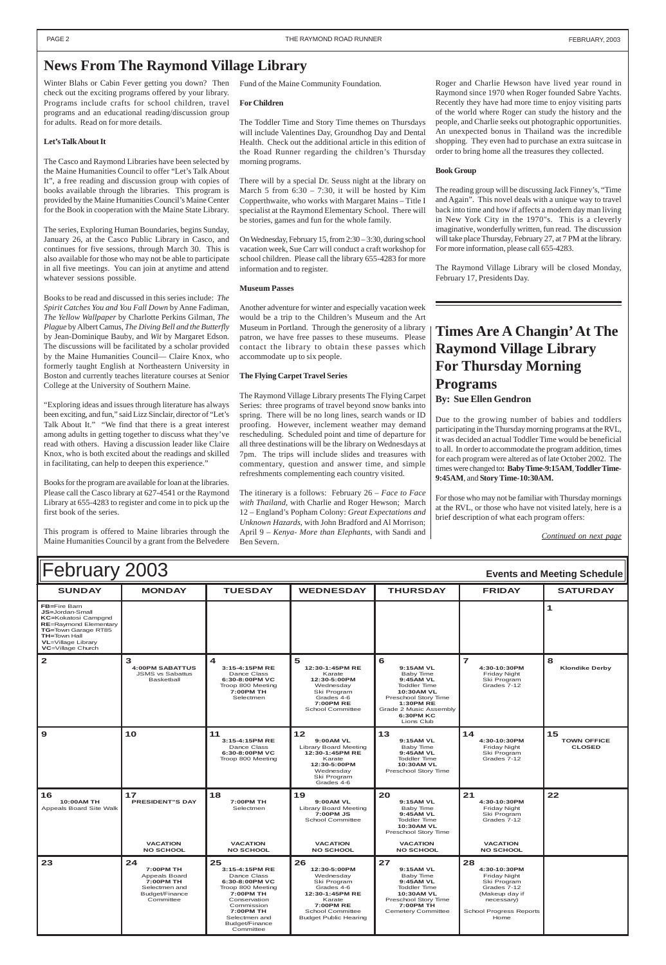| February 2003<br><b>Events and Meeting Schedule</b>                                                                                                                                                          |                                                                      |                                                                                                     |                                                                                                                                  |                                                                                                                                                                                       |                                                                 |                            |
|--------------------------------------------------------------------------------------------------------------------------------------------------------------------------------------------------------------|----------------------------------------------------------------------|-----------------------------------------------------------------------------------------------------|----------------------------------------------------------------------------------------------------------------------------------|---------------------------------------------------------------------------------------------------------------------------------------------------------------------------------------|-----------------------------------------------------------------|----------------------------|
| <b>SUNDAY</b>                                                                                                                                                                                                | <b>MONDAY</b>                                                        | <b>TUESDAY</b>                                                                                      | <b>WEDNESDAY</b>                                                                                                                 | <b>THURSDAY</b>                                                                                                                                                                       | <b>FRIDAY</b>                                                   | <b>SATURDAY</b>            |
| <b>FB=Fire Barn</b><br><b>JS=Jordan-Small</b><br><b>KC=Kokatosi Campgnd</b><br><b>RE=Raymond Elementary</b><br>TG=Town Garage RT85<br><b>TH=Town Hall</b><br><b>VL</b> =Village Library<br>VC=Village Church |                                                                      |                                                                                                     |                                                                                                                                  |                                                                                                                                                                                       |                                                                 |                            |
| $\mathbf{2}$                                                                                                                                                                                                 | з<br><b>4:00PM SABATTUS</b><br><b>JSMS vs Sabattus</b><br>Basketball | 4<br>3:15-4:15PM RE<br>Dance Class<br>6:30-8:00PM VC<br>Troop 800 Meeting<br>7:00PM TH<br>Selectmen | 5<br>12:30-1:45PM RE<br>Karate<br>12:30-5:00PM<br>Wednesday<br>Ski Program<br>Grades 4-6<br><b>7:00PM RE</b><br>School Committee | 6<br>9:15AM VL<br>Baby Time<br>9:45AM VL<br><b>Toddler Time</b><br><b>10:30AM VL</b><br>Preschool Story Time<br><b>1:30PM RE</b><br>Grade 2 Music Assembly<br>6:30PM KC<br>Lions Club | 7<br>4:30-10:30PM<br>Friday Night<br>Ski Program<br>Grades 7-12 | 8<br><b>Klondike Derby</b> |

| l 9                                                | 10                                                                                                                 | 11<br>3:15-4:15PM RE<br>Dance Class<br>6:30-8:00PM VC<br>Troop 800 Meeting                                                                                                         | $12$<br>$9:00AM$ VL<br><b>Library Board Meeting</b><br>12:30-1:45PM RE<br>Karate<br>12:30-5:00PM<br>Wednesdav<br>Ski Program<br>Grades 4-6                        | 13<br>9:15AM VL<br>Baby Time<br>9:45AM VL<br><b>Toddler Time</b><br><b>10:30AM VL</b><br>Preschool Story Time                                                  | 14<br>4:30-10:30PM<br>Friday Night<br>Ski Program<br>Grades 7-12                                                                           | 15<br><b>TOWN OFFICE</b><br><b>CLOSED</b> |
|----------------------------------------------------|--------------------------------------------------------------------------------------------------------------------|------------------------------------------------------------------------------------------------------------------------------------------------------------------------------------|-------------------------------------------------------------------------------------------------------------------------------------------------------------------|----------------------------------------------------------------------------------------------------------------------------------------------------------------|--------------------------------------------------------------------------------------------------------------------------------------------|-------------------------------------------|
| 16<br><b>10:00AM TH</b><br>Appeals Board Site Walk | 17<br><b>PRESIDENT"S DAY</b>                                                                                       | 18<br>7:00PM TH<br>Selectmen                                                                                                                                                       | 19<br>9:00AM VL<br><b>Library Board Meeting</b><br>7:00PM JS<br><b>School Committee</b>                                                                           | 20<br>9:15AM VL<br>Baby Time<br>9:45AM VL<br><b>Toddler Time</b><br><b>10:30AM VL</b><br>Preschool Story Time                                                  | 21<br>4:30-10:30PM<br>Friday Night<br>Ski Program<br>Grades 7-12                                                                           | 22                                        |
|                                                    | <b>VACATION</b><br><b>NO SCHOOL</b>                                                                                | <b>VACATION</b><br><b>NO SCHOOL</b>                                                                                                                                                | <b>VACATION</b><br><b>NO SCHOOL</b>                                                                                                                               | <b>VACATION</b><br><b>NO SCHOOL</b>                                                                                                                            | <b>VACATION</b><br><b>NO SCHOOL</b>                                                                                                        |                                           |
| 23                                                 | 24<br><b>7:00PM TH</b><br><b>Appeals Board</b><br><b>7:00PM TH</b><br>Selectmen and<br>Budget/Finance<br>Committee | 25<br>3:15-4:15PM RE<br>Dance Class<br>6:30-8:00PM VC<br>Troop 800 Meeting<br>7:00PM TH<br>Conservation<br>Commission<br>7:00PM TH<br>Selectmen and<br>Budget/Finance<br>Committee | 26<br>12:30-5:00PM<br>Wednesday<br>Ski Program<br>Grades 4-6<br>12:30-1:45PM RE<br>Karate<br>7:00PM RE<br><b>School Committee</b><br><b>Budget Public Hearing</b> | 27<br>9:15AM VL<br><b>Baby Time</b><br>9:45AM VL<br><b>Toddler Time</b><br><b>10:30AM VL</b><br>Preschool Story Time<br>7:00PM TH<br><b>Cemetery Committee</b> | 28<br>4:30-10:30PM<br>Friday Night<br>Ski Program<br>Grades 7-12<br>(Makeup day if<br>necessary)<br><b>School Progress Reports</b><br>Home |                                           |

### <span id="page-1-0"></span>**News From The Raymond Village Library**

Winter Blahs or Cabin Fever getting you down? Then check out the exciting programs offered by your library. Programs include crafts for school children, travel programs and an educational reading/discussion group for adults. Read on for more details.

#### **Let's Talk About It**

The Casco and Raymond Libraries have been selected by the Maine Humanities Council to offer "Let's Talk About It", a free reading and discussion group with copies of books available through the libraries. This program is provided by the Maine Humanities Council's Maine Center for the Book in cooperation with the Maine State Library.

The series, Exploring Human Boundaries, begins Sunday, January 26, at the Casco Public Library in Casco, and continues for five sessions, through March 30. This is also available for those who may not be able to participate in all five meetings. You can join at anytime and attend whatever sessions possible.

Books to be read and discussed in this series include: *The Spirit Catches You and You Fall Down* by Anne Fadiman, *The Yellow Wallpaper* by Charlotte Perkins Gilman, *The Plague* by Albert Camus, *The Diving Bell and the Butterfly* by Jean-Dominique Bauby, and *Wit* by Margaret Edson. The discussions will be facilitated by a scholar provided by the Maine Humanities Council— Claire Knox, who formerly taught English at Northeastern University in Boston and currently teaches literature courses at Senior College at the University of Southern Maine.

"Exploring ideas and issues through literature has always been exciting, and fun," said Lizz Sinclair, director of "Let's Talk About It." "We find that there is a great interest among adults in getting together to discuss what they've read with others. Having a discussion leader like Claire Knox, who is both excited about the readings and skilled in facilitating, can help to deepen this experience."

Books for the program are available for loan at the libraries. Please call the Casco library at 627-4541 or the Raymond Library at 655-4283 to register and come in to pick up the first book of the series.

This program is offered to Maine libraries through the Maine Humanities Council by a grant from the Belvedere Fund of the Maine Community Foundation.

#### **For Children**

The Toddler Time and Story Time themes on Thursdays will include Valentines Day, Groundhog Day and Dental Health. Check out the additional article in this edition of the Road Runner regarding the children's Thursday morning programs.

There will by a special Dr. Seuss night at the library on March 5 from  $6:30 - 7:30$ , it will be hosted by Kim Copperthwaite, who works with Margaret Mains – Title I specialist at the Raymond Elementary School. There will be stories, games and fun for the whole family.

On Wednesday, February 15, from 2:30 – 3:30, during school vacation week, Sue Carr will conduct a craft workshop for school children. Please call the library 655-4283 for more information and to register.

#### **Museum Passes**

Another adventure for winter and especially vacation week would be a trip to the Children's Museum and the Art Museum in Portland. Through the generosity of a library patron, we have free passes to these museums. Please contact the library to obtain these passes which accommodate up to six people.

#### **The Flying Carpet Travel Series**

The Raymond Village Library presents The Flying Carpet Series: three programs of travel beyond snow banks into spring. There will be no long lines, search wands or ID proofing. However, inclement weather may demand rescheduling. Scheduled point and time of departure for all three destinations will be the library on Wednesdays at 7pm. The trips will include slides and treasures with commentary, question and answer time, and simple refreshments complementing each country visited.

The itinerary is a follows: February 26 – *Face to Face with Thailand*, with Charlie and Roger Hewson; March 12 – England's Popham Colony: *Great Expectations and Unknown Hazards*, with John Bradford and Al Morrison; April 9 – *Kenya- More than Elephants*, with Sandi and Ben Severn.

Roger and Charlie Hewson have lived year round in Raymond since 1970 when Roger founded Sabre Yachts. Recently they have had more time to enjoy visiting parts of the world where Roger can study the history and the people, and Charlie seeks out photographic opportunities. An unexpected bonus in Thailand was the incredible shopping. They even had to purchase an extra suitcase in order to bring home all the treasures they collected.

#### **Book Group**

The reading group will be discussing Jack Finney's, "Time and Again". This novel deals with a unique way to travel back into time and how if affects a modern day man living in New York City in the 1970"s. This is a cleverly imaginative, wonderfully written, fun read. The discussion will take place Thursday, February 27, at 7 PM at the library. For more information, please call 655-4283.

The Raymond Village Library will be closed Monday, February 17, Presidents Day.

### **Times Are A Changin' At The Raymond Village Library For Thursday Morning Programs By: Sue Ellen Gendron**

Due to the growing number of babies and toddlers participating in the Thursday morning programs at the RVL, it was decided an actual Toddler Time would be beneficial to all. In order to accommodate the program addition, times for each program were altered as of late October 2002. The times were changed to**: Baby Time-9:15AM**, **Toddler Time-9:45AM**, and **Story Time-10:30AM.**

For those who may not be familiar with Thursday mornings at the RVL, or those who have not visited lately, here is a brief description of what each program offers:

*Continued on next page*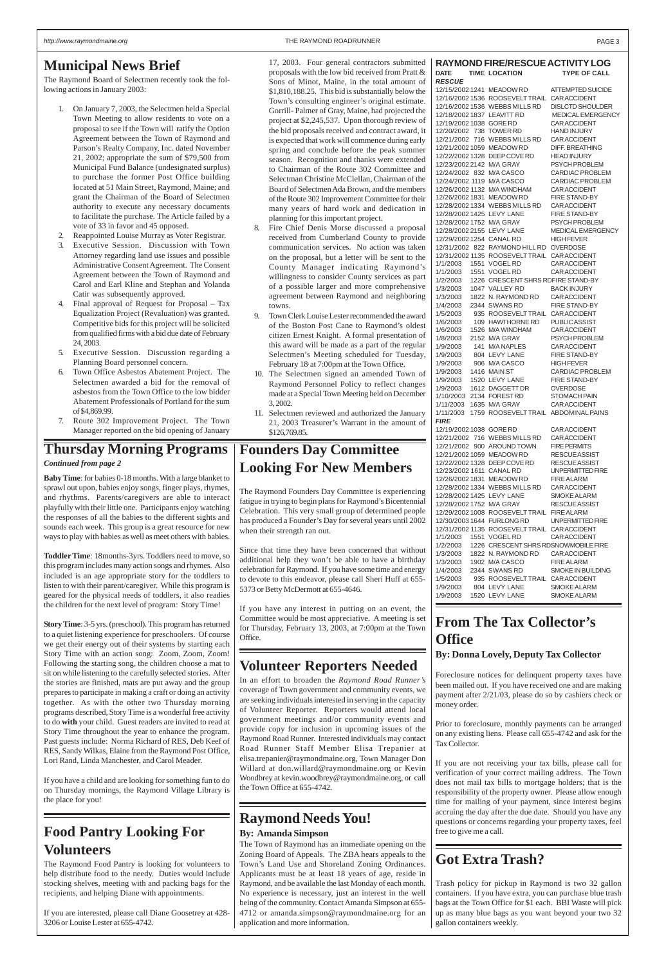## **Municipal News Brief**

The Raymond Board of Selectmen recently took the following actions in January 2003:

- 1. On January 7, 2003, the Selectmen held a Special Town Meeting to allow residents to vote on a proposal to see if the Town will ratify the Option Agreement between the Town of Raymond and Parson's Realty Company, Inc. dated November 21, 2002; appropriate the sum of \$79,500 from Municipal Fund Balance (undesignated surplus) to purchase the former Post Office building located at 51 Main Street, Raymond, Maine; and grant the Chairman of the Board of Selectmen authority to execute any necessary documents to facilitate the purchase. The Article failed by a vote of 33 in favor and 45 opposed.
- 2. Reappointed Louise Murray as Voter Registrar.
- 3. Executive Session. Discussion with Town Attorney regarding land use issues and possible Administrative Consent Agreement. The Consent Agreement between the Town of Raymond and Carol and Earl Kline and Stephan and Yolanda Catir was subsequently approved.
- 4. Final approval of Request for Proposal Tax Equalization Project (Revaluation) was granted. Competitive bids for this project will be solicited from qualified firms with a bid due date of February 24, 2003.
- 5. Executive Session. Discussion regarding a Planning Board personnel concern.
- Town Office Asbestos Abatement Project. The Selectmen awarded a bid for the removal of asbestos from the Town Office to the low bidder Abatement Professionals of Portland for the sum of \$4,869.99.
- 7. Route 302 Improvement Project. The Town Manager reported on the bid opening of January

17, 2003. Four general contractors submitted proposals with the low bid received from Pratt & Sons of Minot, Maine, in the total amount of \$1,810,188.25. This bid is substantially below the Town's consulting engineer's original estimate. Gorrill- Palmer of Gray, Maine, had projected the project at \$2,245,537. Upon thorough review of the bid proposals received and contract award, it is expected that work will commence during early spring and conclude before the peak summer season. Recognition and thanks were extended to Chairman of the Route 302 Committee and Selectman Christine McClellan, Chairman of the Board of Selectmen Ada Brown, and the members of the Route 302 Improvement Committee for their many years of hard work and dedication in planning for this important project.

- 8. Fire Chief Denis Morse discussed a proposal received from Cumberland County to provide communication services. No action was taken on the proposal, but a letter will be sent to the County Manager indicating Raymond's willingness to consider County services as part of a possible larger and more comprehensive agreement between Raymond and neighboring towns.
- 9. Town Clerk Louise Lester recommended the award of the Boston Post Cane to Raymond's oldest citizen Ernest Knight. A formal presentation of this award will be made as a part of the regular Selectmen's Meeting scheduled for Tuesday, February 18 at 7:00pm at the Town Office.
- 10. The Selectmen signed an amended Town of Raymond Personnel Policy to reflect changes made at a Special Town Meeting held on December 3, 2002.
- 11. Selectmen reviewed and authorized the January 21, 2003 Treasurer's Warrant in the amount of \$126,769.85.

### **RAYMOND FIRE/RESCUE ACTIVITY LOG**

DATE TIME LOCATION TYPE OF CALL

| <b>RESCUE</b>              |                                            |                                         |
|----------------------------|--------------------------------------------|-----------------------------------------|
|                            | 12/15/2002 1241 MEADOW RD                  | ATTEMPTED SUICIDE                       |
|                            | 12/16/2002 1536 ROOSEVELTTRAIL CARACCIDENT |                                         |
|                            | 12/16/2002 1536 WEBBS MILLS RD             | <b>DISLCTD SHOULDER</b>                 |
| 12/18/2002 1837 LEAVITT RD |                                            | <b>MEDICAL EMERGENCY</b>                |
| 12/19/2002 1038 GORE RD    |                                            | CAR ACCIDENT                            |
| 12/20/2002 738 TOWER RD    |                                            | <b>HAND INJURY</b>                      |
|                            | 12/21/2002 716 WEBBS MILLS RD              | CAR ACCIDENT                            |
| 12/21/2002 1059 MEADOW RD  |                                            | DIFF. BREATHING                         |
|                            | 12/22/2002 1328 DEEP COVE RD               | <b>HEAD INJURY</b>                      |
| 12/23/2002 2142 M/A GRAY   |                                            | <b>PSYCH PROBLEM</b>                    |
| 12/24/2002 832 M/A CASCO   |                                            | <b>CARDIAC PROBLEM</b>                  |
| 12/24/2002 1119 M/A CASCO  |                                            | <b>CARDIAC PROBLEM</b>                  |
|                            | 12/26/2002 1132 M/A WINDHAM                | CAR ACCIDENT                            |
| 12/26/2002 1831 MEADOW RD  |                                            | <b>FIRE STAND-BY</b>                    |
|                            | 12/28/2002 1334 WEBBS MILLS RD             | CAR ACCIDENT                            |
| 12/28/2002 1425 LEVY LANE  |                                            | <b>FIRE STAND-BY</b>                    |
| 12/28/2002 1752 M/A GRAY   |                                            | <b>PSYCH PROBLEM</b>                    |
| 12/28/2002 2155 LEVY LANE  |                                            | MEDICAL EMERGENCY                       |
| 12/29/2002 1254 CANAL RD   |                                            | <b>HIGH FEVER</b>                       |
|                            | 12/31/2002 822 RAYMOND HILL RD OVERDOSE    |                                         |
|                            | 12/31/2002 1135 ROOSEVELTTRAIL CARACCIDENT |                                         |
| 1/1/2003                   | 1551 VOGEL RD                              | CAR ACCIDENT                            |
| 1/1/2003                   | 1551 VOGEL RD                              | CAR ACCIDENT                            |
| 1/2/2003                   | 1226 CRESCENT SHRS RDFIRE STAND-BY         |                                         |
| 1/3/2003                   | 1047 VALLEY RD                             | <b>BACK INJURY</b>                      |
| 1/3/2003                   | 1822 N. RAYMOND RD                         | CAR ACCIDENT                            |
| 1/4/2003                   | 2344 SWANS RD                              | <b>FIRE STAND-BY</b>                    |
| 1/5/2003                   | 935 ROOSEVELTTRAIL CARACCIDENT             |                                         |
| 1/6/2003                   | 109 HAWTHORNE RD                           | <b>PUBLICASSIST</b>                     |
| 1/6/2003                   | 1526 M/A WINDHAM                           | <b>CAR ACCIDENT</b>                     |
| 1/8/2003                   | 2152 M/A GRAY                              | <b>PSYCH PROBLEM</b>                    |
| 1/9/2003                   | 141 M/A NAPLES                             | <b>CAR ACCIDENT</b>                     |
| 1/9/2003                   | 804 LEVY LANE                              | <b>FIRE STAND-BY</b>                    |
| 1/9/2003                   | 906 M/A CASCO                              | HIGH FEVER                              |
| 1/9/2003                   | 1416 MAIN ST<br>1520 LEVY LANE             | CARDIAC PROBLEM<br><b>FIRE STAND-BY</b> |
| 1/9/2003<br>1/9/2003       | 1612 DAGGETT DR                            | <b>OVERDOSE</b>                         |
| 1/10/2003                  | 2134 FOREST RD                             | <b>STOMACH PAIN</b>                     |
| 1/11/2003                  | 1635 M/A GRAY                              | CAR ACCIDENT                            |
| 1/11/2003                  | 1759 ROOSEVELTTRAIL ABDOMINALPAINS         |                                         |
| <i>FIRE</i>                |                                            |                                         |
| 12/19/2002 1038 GORE RD    |                                            | <b>CAR ACCIDENT</b>                     |
|                            | 12/21/2002 716 WEBBS MILLS RD              | <b>CARACCIDENT</b>                      |
|                            | 12/21/2002 900 AROUND TOWN                 | <b>FIRE PERMITS</b>                     |
| 12/21/2002 1059 MEADOW RD  |                                            | <b>RESCUE ASSIST</b>                    |
|                            | 12/22/2002 1328 DEEP COVE RD               | <b>RESCUE ASSIST</b>                    |
| 12/23/2002 1611 CANAL RD   |                                            | UNPERMITTED FIRE                        |
|                            | 12/26/2002 1831 MEADOW RD                  | <b>FIRE ALARM</b>                       |
|                            | 12/28/2002 1334 WEBBS MILLS RD             | <b>CAR ACCIDENT</b>                     |
| 12/28/2002 1425 LEVY LANE  |                                            | <b>SMOKE ALARM</b>                      |
| 12/28/2002 1752 M/A GRAY   |                                            | <b>RESCUE ASSIST</b>                    |
|                            | 12/29/2002 1008 ROOSEVELT TRAIL FIRE ALARM |                                         |
|                            | 12/30/2003 1644 FURLONG RD                 | UNPERMITTED FIRE                        |
|                            | 12/31/2002 1135 ROOSEVELTTRAIL CARACCIDENT |                                         |
| 1/1/2003                   | 1551 VOGEL RD                              | <b>CAR ACCIDENT</b>                     |
| 1/2/2003                   | 1226 CRESCENT SHRS RDSNOWMOBILE FIRE       |                                         |
| 1/3/2003                   | 1822 N. RAYMOND RD                         | <b>CARACCIDENT</b>                      |
| 1/3/2003                   | 1902 M/A CASCO                             | <b>FIRE ALARM</b>                       |
| 1/4/2003                   | 2344 SWANS RD                              | <b>SMOKE IN BUILDING</b>                |
| 1/5/2003                   | 935 ROOSEVELTTRAIL CARACCIDENT             |                                         |
| 1/9/2003                   | 804 LEVY LANE                              | <b>SMOKE ALARM</b>                      |
| 1/9/2003                   | 1520 LEVY LANE                             | SMOKE ALARM                             |

## **Food Pantry Looking For Volunteers**

The Raymond Food Pantry is looking for volunteers to help distribute food to the needy. Duties would include stocking shelves, meeting with and packing bags for the recipients, and helping Diane with appointments.

If you are interested, please call Diane Goosetrey at 428- 3206 or Louise Lester at 655-4742.

### **Founders Day Committee Looking For New Members**

The Raymond Founders Day Committee is experiencing fatigue in trying to begin plans for Raymond's Bicentennial Celebration. This very small group of determined people has produced a Founder's Day for several years until 2002 when their strength ran out.

Since that time they have been concerned that without additional help they won't be able to have a birthday celebration for Raymond. If you have some time and energy to devote to this endeavor, please call Sheri Huff at 655- 5373 or Betty McDermott at 655-4646.

If you have any interest in putting on an event, the Committee would be most appreciative. A meeting is set for Thursday, February 13, 2003, at 7:00pm at the Town Office.

## **From The Tax Collector's Office**

**By: Donna Lovely, Deputy Tax Collector**

Foreclosure notices for delinquent property taxes have been mailed out. If you have received one and are making payment after 2/21/03, please do so by cashiers check or money order.

Prior to foreclosure, monthly payments can be arranged

on any existing liens. Please call 655-4742 and ask for the Tax Collector.

If you are not receiving your tax bills, please call for verification of your correct mailing address. The Town does not mail tax bills to mortgage holders; that is the responsibility of the property owner. Please allow enough time for mailing of your payment, since interest begins accruing the day after the due date. Should you have any questions or concerns regarding your property taxes, feel free to give me a call.

## **Got Extra Trash?**

Trash policy for pickup in Raymond is two 32 gallon containers. If you have extra, you can purchase blue trash bags at the Town Office for \$1 each. BBI Waste will pick up as many blue bags as you want beyond your two 32 gallon containers weekly.

## **Volunteer Reporters Needed**

In an effort to broaden the *Raymond Road Runner's* coverage of Town government and community events, we are seeking individuals interested in serving in the capacity of Volunteer Reporter. Reporters would attend local government meetings and/or community events and provide copy for inclusion in upcoming issues of the Raymond Road Runner. Interested individuals may contact Road Runner Staff Member Elisa Trepanier at elisa.trepanier@raymondmaine.org, Town Manager Don Willard at don.willard@raymondmaine.org or Kevin Woodbrey at kevin.woodbrey@raymondmaine.org, or call the Town Office at 655-4742.

## **Raymond Needs You!**

#### **By: Amanda Simpson**

The Town of Raymond has an immediate opening on the Zoning Board of Appeals. The ZBA hears appeals to the Town's Land Use and Shoreland Zoning Ordinances. Applicants must be at least 18 years of age, reside in Raymond, and be available the last Monday of each month. No experience is necessary, just an interest in the well being of the community. Contact Amanda Simpson at 655- 4712 or amanda.simpson@raymondmaine.org for an application and more information.

**Baby Time**: for babies 0-18 months. With a large blanket to sprawl out upon, babies enjoy songs, finger plays, rhymes, and rhythms. Parents/caregivers are able to interact playfully with their little one. Participants enjoy watching the responses of all the babies to the different sights and sounds each week. This group is a great resource for new ways to play with babies as well as meet others with babies.

**Toddler Time**: 18months-3yrs. Toddlers need to move, so this program includes many action songs and rhymes. Also included is an age appropriate story for the toddlers to listen to with their parent/caregiver. While this program is geared for the physical needs of toddlers, it also readies the children for the next level of program: Story Time!

**Story Time**: 3-5 yrs. (preschool). This program has returned to a quiet listening experience for preschoolers. Of course we get their energy out of their systems by starting each Story Time with an action song: Zoom, Zoom, Zoom! Following the starting song, the children choose a mat to sit on while listening to the carefully selected stories. After the stories are finished, mats are put away and the group prepares to participate in making a craft or doing an activity together. As with the other two Thursday morning programs described, Story Time is a wonderful free activity to do **with** your child. Guest readers are invited to read at Story Time throughout the year to enhance the program. Past guests include: Norma Richard of RES, Deb Keef of RES, Sandy Wilkas, Elaine from the Raymond Post Office, Lori Rand, Linda Manchester, and Carol Meader.

#### <span id="page-2-0"></span>http://www.raymondmaine.org PAGE 3 PAGE 3

If you have a child and are looking for something fun to do on Thursday mornings, the Raymond Village Library is the place for you!

# **Thursday Morning Programs**

*Continued from page 2*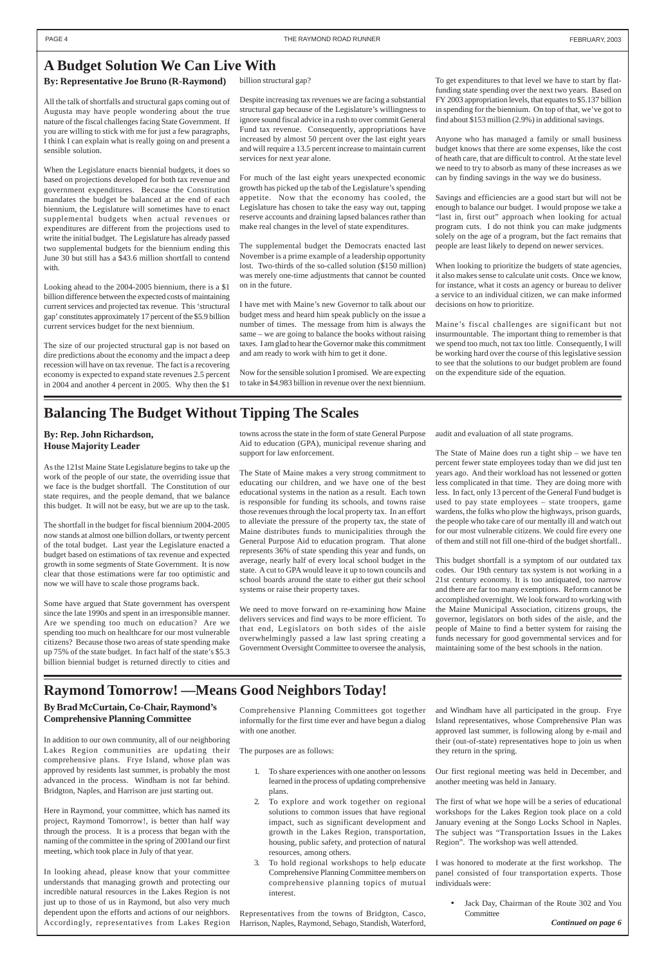## <span id="page-3-0"></span>**A Budget Solution We Can Live With**

#### **By: Representative Joe Bruno (R-Raymond)**

All the talk of shortfalls and structural gaps coming out of Augusta may have people wondering about the true nature of the fiscal challenges facing State Government. If you are willing to stick with me for just a few paragraphs, I think I can explain what is really going on and present a sensible solution.

When the Legislature enacts biennial budgets, it does so based on projections developed for both tax revenue and government expenditures. Because the Constitution mandates the budget be balanced at the end of each biennium, the Legislature will sometimes have to enact supplemental budgets when actual revenues or expenditures are different from the projections used to write the initial budget. The Legislature has already passed two supplemental budgets for the biennium ending this June 30 but still has a \$43.6 million shortfall to contend with.

Looking ahead to the 2004-2005 biennium, there is a \$1 billion difference between the expected costs of maintaining current services and projected tax revenue. This 'structural gap' constitutes approximately 17 percent of the \$5.9 billion current services budget for the next biennium.

The size of our projected structural gap is not based on dire predictions about the economy and the impact a deep recession will have on tax revenue. The fact is a recovering economy is expected to expand state revenues 2.5 percent in 2004 and another 4 percent in 2005. Why then the \$1

billion structural gap?

Despite increasing tax revenues we are facing a substantial structural gap because of the Legislature's willingness to ignore sound fiscal advice in a rush to over commit General Fund tax revenue. Consequently, appropriations have increased by almost 50 percent over the last eight years and will require a 13.5 percent increase to maintain current services for next year alone.

For much of the last eight years unexpected economic growth has picked up the tab of the Legislature's spending appetite. Now that the economy has cooled, the Legislature has chosen to take the easy way out, tapping reserve accounts and draining lapsed balances rather than make real changes in the level of state expenditures.

The supplemental budget the Democrats enacted last November is a prime example of a leadership opportunity lost. Two-thirds of the so-called solution (\$150 million) was merely one-time adjustments that cannot be counted on in the future.

I have met with Maine's new Governor to talk about our budget mess and heard him speak publicly on the issue a number of times. The message from him is always the same – we are going to balance the books without raising taxes. I am glad to hear the Governor make this commitment and am ready to work with him to get it done.

Now for the sensible solution I promised. We are expecting to take in \$4.983 billion in revenue over the next biennium.

To get expenditures to that level we have to start by flatfunding state spending over the next two years. Based on FY 2003 appropriation levels, that equates to \$5.137 billion in spending for the biennium. On top of that, we've got to find about \$153 million (2.9%) in additional savings.

Anyone who has managed a family or small business budget knows that there are some expenses, like the cost of heath care, that are difficult to control. At the state level we need to try to absorb as many of these increases as we can by finding savings in the way we do business.

Savings and efficiencies are a good start but will not be enough to balance our budget. I would propose we take a "last in, first out" approach when looking for actual program cuts. I do not think you can make judgments solely on the age of a program, but the fact remains that people are least likely to depend on newer services.

When looking to prioritize the budgets of state agencies, it also makes sense to calculate unit costs. Once we know, for instance, what it costs an agency or bureau to deliver a service to an individual citizen, we can make informed decisions on how to prioritize.

Maine's fiscal challenges are significant but not insurmountable. The important thing to remember is that we spend too much, not tax too little. Consequently, I will be working hard over the course of this legislative session to see that the solutions to our budget problem are found on the expenditure side of the equation.

## **Balancing The Budget Without Tipping The Scales**

#### **By: Rep. John Richardson, House Majority Leader**

As the 121st Maine State Legislature begins to take up the work of the people of our state, the overriding issue that we face is the budget shortfall. The Constitution of our state requires, and the people demand, that we balance this budget. It will not be easy, but we are up to the task.

The shortfall in the budget for fiscal biennium 2004-2005 now stands at almost one billion dollars, or twenty percent of the total budget. Last year the Legislature enacted a budget based on estimations of tax revenue and expected growth in some segments of State Government. It is now clear that those estimations were far too optimistic and now we will have to scale those programs back.

> • Jack Day, Chairman of the Route 302 and You **Committee**

Some have argued that State government has overspent since the late 1990s and spent in an irresponsible manner. Are we spending too much on education? Are we spending too much on healthcare for our most vulnerable citizens? Because those two areas of state spending make up 75% of the state budget. In fact half of the state's \$5.3 billion biennial budget is returned directly to cities and

towns across the state in the form of state General Purpose Aid to education (GPA), municipal revenue sharing and support for law enforcement.

The State of Maine makes a very strong commitment to educating our children, and we have one of the best educational systems in the nation as a result. Each town is responsible for funding its schools, and towns raise those revenues through the local property tax. In an effort to alleviate the pressure of the property tax, the state of Maine distributes funds to municipalities through the General Purpose Aid to education program. That alone represents 36% of state spending this year and funds, on average, nearly half of every local school budget in the state. A cut to GPA would leave it up to town councils and school boards around the state to either gut their school systems or raise their property taxes.

We need to move forward on re-examining how Maine delivers services and find ways to be more efficient. To that end, Legislators on both sides of the aisle overwhelmingly passed a law last spring creating a Government Oversight Committee to oversee the analysis,

audit and evaluation of all state programs.

The State of Maine does run a tight ship – we have ten percent fewer state employees today than we did just ten years ago. And their workload has not lessened or gotten less complicated in that time. They are doing more with less. In fact, only 13 percent of the General Fund budget is used to pay state employees – state troopers, game wardens, the folks who plow the highways, prison guards, the people who take care of our mentally ill and watch out for our most vulnerable citizens. We could fire every one of them and still not fill one-third of the budget shortfall..

This budget shortfall is a symptom of our outdated tax codes. Our 19th century tax system is not working in a 21st century economy. It is too antiquated, too narrow and there are far too many exemptions. Reform cannot be accomplished overnight. We look forward to working with the Maine Municipal Association, citizens groups, the governor, legislators on both sides of the aisle, and the people of Maine to find a better system for raising the funds necessary for good governmental services and for maintaining some of the best schools in the nation.

## **Raymond Tomorrow! —Means Good Neighbors Today!**

**By Brad McCurtain, Co-Chair, Raymond's Comprehensive Planning Committee**

In addition to our own community, all of our neighboring Lakes Region communities are updating their comprehensive plans. Frye Island, whose plan was approved by residents last summer, is probably the most advanced in the process. Windham is not far behind. Bridgton, Naples, and Harrison are just starting out.

Here in Raymond, your committee, which has named its project, Raymond Tomorrow!, is better than half way through the process. It is a process that began with the naming of the committee in the spring of 2001and our first meeting, which took place in July of that year.

In looking ahead, please know that your committee understands that managing growth and protecting our incredible natural resources in the Lakes Region is not just up to those of us in Raymond, but also very much dependent upon the efforts and actions of our neighbors. Accordingly, representatives from Lakes Region

Comprehensive Planning Committees got together informally for the first time ever and have begun a dialog with one another.

The purposes are as follows:

- 1. To share experiences with one another on lessons learned in the process of updating comprehensive plans.
- 2. To explore and work together on regional solutions to common issues that have regional impact, such as significant development and growth in the Lakes Region, transportation, housing, public safety, and protection of natural resources, among others.
- 3. To hold regional workshops to help educate Comprehensive Planning Committee members on comprehensive planning topics of mutual interest.

Representatives from the towns of Bridgton, Casco, Harrison, Naples, Raymond, Sebago, Standish, Waterford,

and Windham have all participated in the group. Frye Island representatives, whose Comprehensive Plan was approved last summer, is following along by e-mail and their (out-of-state) representatives hope to join us when they return in the spring.

Our first regional meeting was held in December, and another meeting was held in January.

The first of what we hope will be a series of educational workshops for the Lakes Region took place on a cold January evening at the Songo Locks School in Naples. The subject was "Transportation Issues in the Lakes Region". The workshop was well attended.

I was honored to moderate at the first workshop. The panel consisted of four transportation experts. Those individuals were:

*Continued on page 6*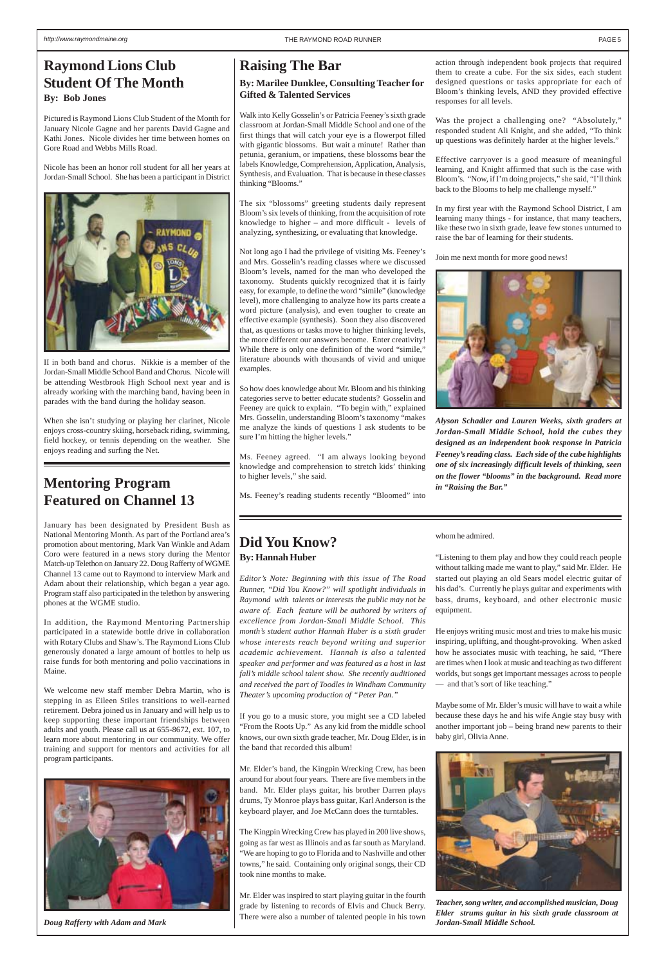## **Raising The Bar**

*Alyson Schadler and Lauren Weeks, sixth graders at Jordan-Small Middie School, hold the cubes they designed as an independent book response in Patricia Feeney's reading class. Each side of the cube highlights one of six increasingly difficult levels of thinking, seen on the flower "blooms" in the background. Read more in "Raising the Bar."*

#### **By: Marilee Dunklee, Consulting Teacher for Gifted & Talented Services**

Walk into Kelly Gosselin's or Patricia Feeney's sixth grade classroom at Jordan-Small Middle School and one of the first things that will catch your eye is a flowerpot filled with gigantic blossoms. But wait a minute! Rather than petunia, geranium, or impatiens, these blossoms bear the labels Knowledge, Comprehension, Application, Analysis, Synthesis, and Evaluation. That is because in these classes thinking "Blooms."

The six "blossoms" greeting students daily represent Bloom's six levels of thinking, from the acquisition of rote knowledge to higher – and more difficult - levels of analyzing, synthesizing, or evaluating that knowledge.

Not long ago I had the privilege of visiting Ms. Feeney's and Mrs. Gosselin's reading classes where we discussed Bloom's levels, named for the man who developed the taxonomy. Students quickly recognized that it is fairly easy, for example, to define the word "simile" (knowledge level), more challenging to analyze how its parts create a word picture (analysis), and even tougher to create an effective example (synthesis). Soon they also discovered that, as questions or tasks move to higher thinking levels, the more different our answers become. Enter creativity! While there is only one definition of the word "simile," literature abounds with thousands of vivid and unique examples.

So how does knowledge about Mr. Bloom and his thinking categories serve to better educate students? Gosselin and Feeney are quick to explain. "To begin with," explained Mrs. Gosselin, understanding Bloom's taxonomy "makes me analyze the kinds of questions I ask students to be sure I'm hitting the higher levels."

Ms. Feeney agreed. "I am always looking beyond knowledge and comprehension to stretch kids' thinking to higher levels," she said.

Ms. Feeney's reading students recently "Bloomed" into

action through independent book projects that required them to create a cube. For the six sides, each student designed questions or tasks appropriate for each of Bloom's thinking levels, AND they provided effective responses for all levels.

Was the project a challenging one? "Absolutely," responded student Ali Knight, and she added, "To think up questions was definitely harder at the higher levels."

Effective carryover is a good measure of meaningful learning, and Knight affirmed that such is the case with Bloom's. "Now, if I'm doing projects," she said, "I'll think back to the Blooms to help me challenge myself."

In my first year with the Raymond School District, I am learning many things - for instance, that many teachers, like these two in sixth grade, leave few stones unturned to raise the bar of learning for their students.

Join me next month for more good news!



### **Did You Know? By: Hannah Huber**

*Editor's Note: Beginning with this issue of The Road Runner, "Did You Know?" will spotlight individuals in Raymond with talents or interests the public may not be aware of. Each feature will be authored by writers of excellence from Jordan-Small Middle School. This month's student author Hannah Huber is a sixth grader whose interests reach beyond writing and superior academic achievement. Hannah is also a talented speaker and performer and was featured as a host in last fall's middle school talent show. She recently auditioned and received the part of Toodles in Windham Community Theater's upcoming production of "Peter Pan."*

If you go to a music store, you might see a CD labeled "From the Roots Up." As any kid from the middle school

knows, our own sixth grade teacher, Mr. Doug Elder, is in baby girl, Olivia Anne. the band that recorded this album!

Mr. Elder's band, the Kingpin Wrecking Crew, has been around for about four years. There are five members in the band. Mr. Elder plays guitar, his brother Darren plays drums, Ty Monroe plays bass guitar, Karl Anderson is the keyboard player, and Joe McCann does the turntables.

The Kingpin Wrecking Crew has played in 200 live shows, going as far west as Illinois and as far south as Maryland. "We are hoping to go to Florida and to Nashville and other towns," he said. Containing only original songs, their CD took nine months to make.

Mr. Elder was inspired to start playing guitar in the fourth grade by listening to records of Elvis and Chuck Berry. There were also a number of talented people in his town

whom he admired.

"Listening to them play and how they could reach people without talking made me want to play," said Mr. Elder. He started out playing an old Sears model electric guitar of his dad's. Currently he plays guitar and experiments with bass, drums, keyboard, and other electronic music equipment.

He enjoys writing music most and tries to make his music inspiring, uplifting, and thought-provoking. When asked how he associates music with teaching, he said, "There are times when I look at music and teaching as two different worlds, but songs get important messages across to people — and that's sort of like teaching."

Maybe some of Mr. Elder's music will have to wait a while because these days he and his wife Angie stay busy with another important job – being brand new parents to their



*Teacher, song writer, and accomplished musician, Doug Elder strums guitar in his sixth grade classroom at Jordan-Small Middle School.*

### <span id="page-4-0"></span>**Raymond Lions Club Student Of The Month By: Bob Jones**

Pictured is Raymond Lions Club Student of the Month for January Nicole Gagne and her parents David Gagne and Kathi Jones. Nicole divides her time between homes on Gore Road and Webbs Mills Road.

Nicole has been an honor roll student for all her years at Jordan-Small School. She has been a participant in District



II in both band and chorus. Nikkie is a member of the Jordan-Small Middle School Band and Chorus. Nicole will be attending Westbrook High School next year and is already working with the marching band, having been in parades with the band during the holiday season.

When she isn't studying or playing her clarinet, Nicole enjoys cross-country skiing, horseback riding, swimming, field hockey, or tennis depending on the weather. She enjoys reading and surfing the Net.

## **Mentoring Program Featured on Channel 13**

January has been designated by President Bush as National Mentoring Month. As part of the Portland area's promotion about mentoring, Mark Van Winkle and Adam Coro were featured in a news story during the Mentor Match-up Telethon on January 22. Doug Rafferty of WGME Channel 13 came out to Raymond to interview Mark and Adam about their relationship, which began a year ago. Program staff also participated in the telethon by answering phones at the WGME studio.

In addition, the Raymond Mentoring Partnership participated in a statewide bottle drive in collaboration with Rotary Clubs and Shaw's. The Raymond Lions Club generously donated a large amount of bottles to help us raise funds for both mentoring and polio vaccinations in Maine.

We welcome new staff member Debra Martin, who is stepping in as Eileen Stiles transitions to well-earned retirement. Debra joined us in January and will help us to keep supporting these important friendships between adults and youth. Please call us at 655-8672, ext. 107, to learn more about mentoring in our community. We offer training and support for mentors and activities for all program participants.



*Doug Rafferty with Adam and Mark*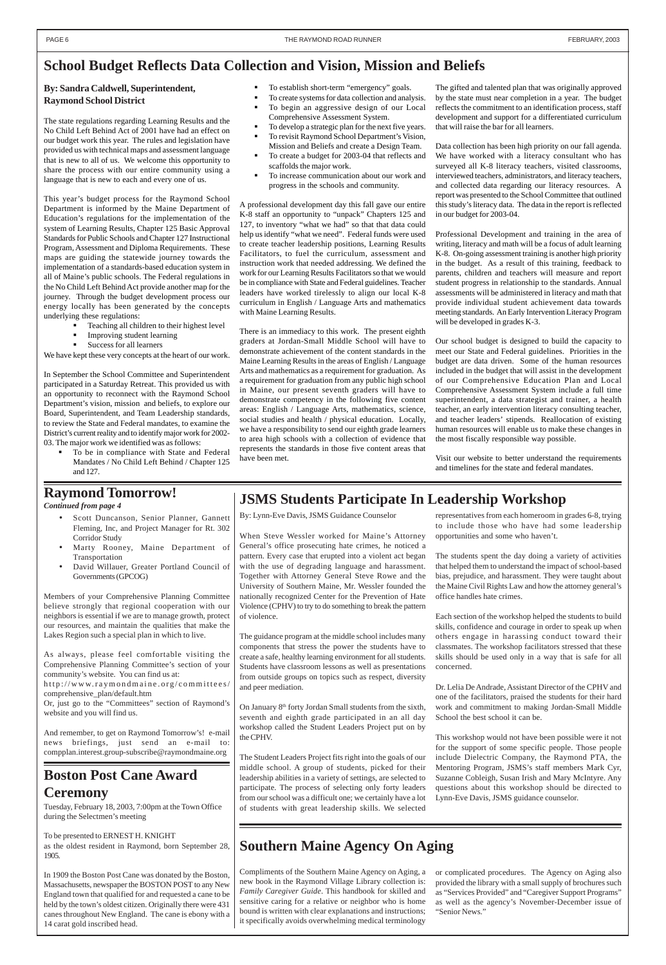### <span id="page-5-0"></span>**School Budget Reflects Data Collection and Vision, Mission and Beliefs**

#### **By: Sandra Caldwell, Superintendent, Raymond School District**

The state regulations regarding Learning Results and the No Child Left Behind Act of 2001 have had an effect on our budget work this year. The rules and legislation have provided us with technical maps and assessment language that is new to all of us. We welcome this opportunity to share the process with our entire community using a language that is new to each and every one of us.

- ! Teaching all children to their highest level
- ! Improving student learning
- Success for all learners

This year's budget process for the Raymond School Department is informed by the Maine Department of Education's regulations for the implementation of the system of Learning Results, Chapter 125 Basic Approval Standards for Public Schools and Chapter 127 Instructional Program, Assessment and Diploma Requirements. These maps are guiding the statewide journey towards the implementation of a standards-based education system in all of Maine's public schools. The Federal regulations in the No Child Left Behind Act provide another map for the journey. Through the budget development process our energy locally has been generated by the concepts underlying these regulations:

We have kept these very concepts at the heart of our work.

In September the School Committee and Superintendent participated in a Saturday Retreat. This provided us with an opportunity to reconnect with the Raymond School Department's vision, mission and beliefs, to explore our Board, Superintendent, and Team Leadership standards, to review the State and Federal mandates, to examine the District's current reality and to identify major work for 2002- 03. The major work we identified was as follows:

! To be in compliance with State and Federal Mandates / No Child Left Behind / Chapter 125 and 127.

- ! To establish short-term "emergency" goals.
- ! To create systems for data collection and analysis. ! To begin an aggressive design of our Local Comprehensive Assessment System.
- To develop a strategic plan for the next five years.
- ! To revisit Raymond School Department's Vision, Mission and Beliefs and create a Design Team.
- To create a budget for 2003-04 that reflects and scaffolds the major work.
- ! To increase communication about our work and progress in the schools and community.

A professional development day this fall gave our entire K-8 staff an opportunity to "unpack" Chapters 125 and 127, to inventory "what we had" so that that data could help us identify "what we need". Federal funds were used to create teacher leadership positions, Learning Results Facilitators, to fuel the curriculum, assessment and instruction work that needed addressing. We defined the work for our Learning Results Facilitators so that we would be in compliance with State and Federal guidelines. Teacher leaders have worked tirelessly to align our local K-8 curriculum in English / Language Arts and mathematics with Maine Learning Results.

On January 8<sup>th</sup> forty Jordan Small students from the sixth, seventh and eighth grade participated in an all day workshop called the Student Leaders Project put on by the CPHV.

There is an immediacy to this work. The present eighth graders at Jordan-Small Middle School will have to demonstrate achievement of the content standards in the Maine Learning Results in the areas of English / Language Arts and mathematics as a requirement for graduation. As a requirement for graduation from any public high school in Maine, our present seventh graders will have to demonstrate competency in the following five content areas: English / Language Arts, mathematics, science, social studies and health / physical education. Locally, we have a responsibility to send our eighth grade learners to area high schools with a collection of evidence that represents the standards in those five content areas that have been met.

The gifted and talented plan that was originally approved by the state must near completion in a year. The budget reflects the commitment to an identification process, staff development and support for a differentiated curriculum that will raise the bar for all learners.

Data collection has been high priority on our fall agenda. We have worked with a literacy consultant who has surveyed all K-8 literacy teachers, visited classrooms, interviewed teachers, administrators, and literacy teachers, and collected data regarding our literacy resources. A report was presented to the School Committee that outlined this study's literacy data. The data in the report is reflected in our budget for 2003-04.

Professional Development and training in the area of writing, literacy and math will be a focus of adult learning K-8. On-going assessment training is another high priority in the budget. As a result of this training, feedback to parents, children and teachers will measure and report student progress in relationship to the standards. Annual assessments will be administered in literacy and math that provide individual student achievement data towards meeting standards. An Early Intervention Literacy Program will be developed in grades K-3.

Our school budget is designed to build the capacity to meet our State and Federal guidelines. Priorities in the budget are data driven. Some of the human resources included in the budget that will assist in the development of our Comprehensive Education Plan and Local Comprehensive Assessment System include a full time superintendent, a data strategist and trainer, a health teacher, an early intervention literacy consulting teacher, and teacher leaders' stipends. Reallocation of existing human resources will enable us to make these changes in the most fiscally responsible way possible.

Visit our website to better understand the requirements and timelines for the state and federal mandates.

### **JSMS Students Participate In Leadership Workshop**

By: Lynn-Eve Davis, JSMS Guidance Counselor

When Steve Wessler worked for Maine's Attorney General's office prosecuting hate crimes, he noticed a pattern. Every case that erupted into a violent act began with the use of degrading language and harassment. Together with Attorney General Steve Rowe and the University of Southern Maine, Mr. Wessler founded the nationally recognized Center for the Prevention of Hate Violence (CPHV) to try to do something to break the pattern of violence.

The guidance program at the middle school includes many components that stress the power the students have to create a safe, healthy learning environment for all students. Students have classroom lessons as well as presentations from outside groups on topics such as respect, diversity and peer mediation.

The Student Leaders Project fits right into the goals of our middle school. A group of students, picked for their leadership abilities in a variety of settings, are selected to participate. The process of selecting only forty leaders from our school was a difficult one; we certainly have a lot of students with great leadership skills. We selected

representatives from each homeroom in grades 6-8, trying to include those who have had some leadership opportunities and some who haven't.

The students spent the day doing a variety of activities that helped them to understand the impact of school-based bias, prejudice, and harassment. They were taught about the Maine Civil Rights Law and how the attorney general's office handles hate crimes.

Each section of the workshop helped the students to build skills, confidence and courage in order to speak up when others engage in harassing conduct toward their classmates. The workshop facilitators stressed that these skills should be used only in a way that is safe for all concerned.

Dr. Lelia De Andrade, Assistant Director of the CPHV and one of the facilitators, praised the students for their hard work and commitment to making Jordan-Small Middle School the best school it can be.

This workshop would not have been possible were it not for the support of some specific people. Those people include Dielectric Company, the Raymond PTA, the Mentoring Program, JSMS's staff members Mark Cyr, Suzanne Cobleigh, Susan Irish and Mary McIntyre. Any questions about this workshop should be directed to Lynn-Eve Davis, JSMS guidance counselor.

## **Boston Post Cane Award Ceremony**

Tuesday, February 18, 2003, 7:00pm at the Town Office during the Selectmen's meeting

To be presented to ERNEST H. KNIGHT as the oldest resident in Raymond, born September 28, 1905.

In 1909 the Boston Post Cane was donated by the Boston, Massachusetts, newspaper the BOSTON POST to any New England town that qualified for and requested a cane to be held by the town's oldest citizen. Originally there were 431 canes throughout New England. The cane is ebony with a 14 carat gold inscribed head.

## **Southern Maine Agency On Aging**

- Scott Duncanson, Senior Planner, Gannett Fleming, Inc, and Project Manager for Rt. 302 Corridor Study
- Marty Rooney, Maine Department of Transportation
- David Willauer, Greater Portland Council of Governments (GPCOG)

Members of your Comprehensive Planning Committee believe strongly that regional cooperation with our neighbors is essential if we are to manage growth, protect our resources, and maintain the qualities that make the Lakes Region such a special plan in which to live.

As always, please feel comfortable visiting the Comprehensive Planning Committee's section of your community's website. You can find us at: http://www.raymondmaine.org/committees/ comprehensive\_plan/default.htm Or, just go to the "Committees" section of Raymond's

website and you will find us.

And remember, to get on Raymond Tomorrow's! e-mail news briefings, just send an e-mail to: compplan.interest.group-subscribe@raymondmaine.org

## **Raymond Tomorrow!**

#### *Continued from page 4*

Compliments of the Southern Maine Agency on Aging, a new book in the Raymond Village Library collection is: *Family Caregiver Guide*. This handbook for skilled and sensitive caring for a relative or neighbor who is home bound is written with clear explanations and instructions; it specifically avoids overwhelming medical terminology

or complicated procedures. The Agency on Aging also provided the library with a small supply of brochures such as "Services Provided" and "Caregiver Support Programs" as well as the agency's November-December issue of "Senior News."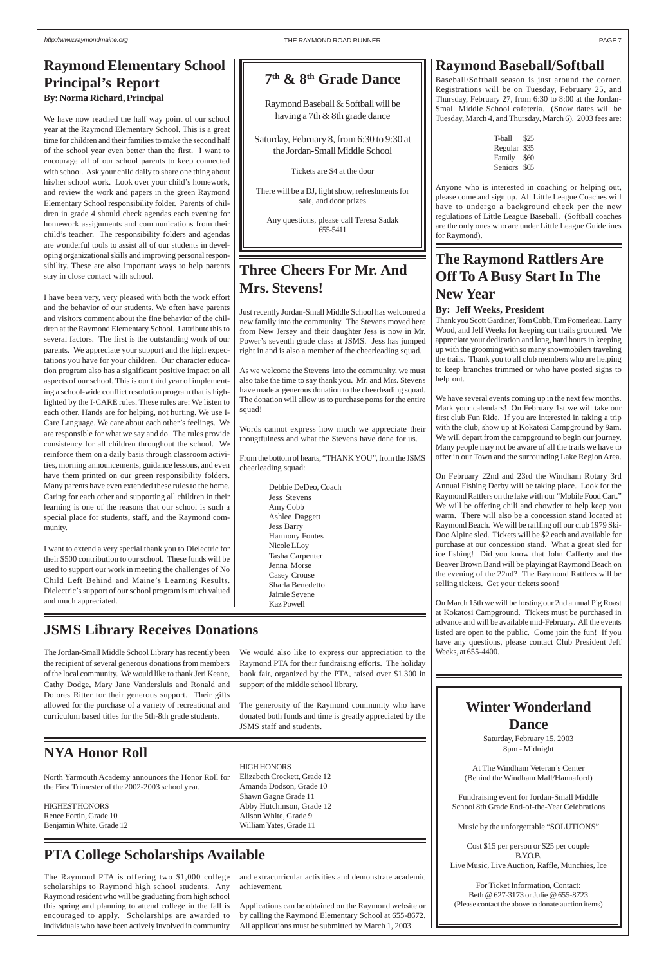## **The Raymond Rattlers Are Off To A Busy Start In The New Year**

#### **By: Jeff Weeks, President**

Thank you Scott Gardiner, Tom Cobb, Tim Pomerleau, Larry Wood, and Jeff Weeks for keeping our trails groomed. We appreciate your dedication and long, hard hours in keeping up with the grooming with so many snowmobilers traveling the trails. Thank you to all club members who are helping to keep branches trimmed or who have posted signs to help out.

We have several events coming up in the next few months. Mark your calendars! On February 1st we will take our first club Fun Ride. If you are interested in taking a trip with the club, show up at Kokatosi Campground by 9am. We will depart from the campground to begin our journey. Many people may not be aware of all the trails we have to offer in our Town and the surrounding Lake Region Area.

On February 22nd and 23rd the Windham Rotary 3rd Annual Fishing Derby will be taking place. Look for the Raymond Rattlers on the lake with our "Mobile Food Cart." We will be offering chili and chowder to help keep you warm. There will also be a concession stand located at Raymond Beach. We will be raffling off our club 1979 Ski-Doo Alpine sled. Tickets will be \$2 each and available for purchase at our concession stand. What a great sled for ice fishing! Did you know that John Cafferty and the Beaver Brown Band will be playing at Raymond Beach on the evening of the 22nd? The Raymond Rattlers will be selling tickets. Get your tickets soon!

On March 15th we will be hosting our 2nd annual Pig Roast at Kokatosi Campground. Tickets must be purchased in advance and will be available mid-February. All the events listed are open to the public. Come join the fun! If you have any questions, please contact Club President Jeff Weeks, at 655-4400.

### **Raymond Baseball/Softball**

Baseball/Softball season is just around the corner. Registrations will be on Tuesday, February 25, and Thursday, February 27, from 6:30 to 8:00 at the Jordan-Small Middle School cafeteria. (Snow dates will be Tuesday, March 4, and Thursday, March 6). 2003 fees are:

> T-ball \$25 Regular \$35 Family \$60 Seniors \$65

Anyone who is interested in coaching or helping out, please come and sign up. All Little League Coaches will have to undergo a background check per the new regulations of Little League Baseball. (Softball coaches are the only ones who are under Little League Guidelines for Raymond).

## **Three Cheers For Mr. And Mrs. Stevens!**

Just recently Jordan-Small Middle School has welcomed a new family into the community. The Stevens moved here from New Jersey and their daughter Jess is now in Mr. Power's seventh grade class at JSMS. Jess has jumped right in and is also a member of the cheerleading squad.

As we welcome the Stevens into the community, we must also take the time to say thank you. Mr. and Mrs. Stevens have made a generous donation to the cheerleading squad. The donation will allow us to purchase poms for the entire squad!

Words cannot express how much we appreciate their thougtfulness and what the Stevens have done for us.

From the bottom of hearts, "THANK YOU", from the JSMS cheerleading squad:

> Debbie DeDeo, Coach Jess Stevens Amy Cobb Ashlee Daggett Jess Barry Harmony Fontes Nicole LLoy Tasha Carpenter Jenna Morse Casey Crouse Sharla Benedetto Jaimie Sevene Kaz Powell

### **JSMS Library Receives Donations**

### **NYA Honor Roll**

North Yarmouth Academy announces the Honor Roll for the First Trimester of the 2002-2003 school year.

HIGHEST HONORS Renee Fortin, Grade 10 Benjamin White, Grade 12

## **PTA College Scholarships Available**

### <span id="page-6-0"></span>**Raymond Elementary School Principal's Report By: Norma Richard, Principal**

#### **HIGH HONORS** Elizabeth Crockett, Grade 12 Amanda Dodson, Grade 10 Shawn Gagne Grade 11 Abby Hutchinson, Grade 12 Alison White, Grade 9 William Yates, Grade 11

We have now reached the half way point of our school year at the Raymond Elementary School. This is a great time for children and their families to make the second half of the school year even better than the first. I want to encourage all of our school parents to keep connected with school. Ask your child daily to share one thing about his/her school work. Look over your child's homework, and review the work and papers in the green Raymond Elementary School responsibility folder. Parents of children in grade 4 should check agendas each evening for homework assignments and communications from their child's teacher. The responsibility folders and agendas are wonderful tools to assist all of our students in developing organizational skills and improving personal responsibility. These are also important ways to help parents stay in close contact with school.

I have been very, very pleased with both the work effort and the behavior of our students. We often have parents and visitors comment about the fine behavior of the children at the Raymond Elementary School. I attribute this to several factors. The first is the outstanding work of our parents. We appreciate your support and the high expectations you have for your children. Our character education program also has a significant positive impact on all aspects of our school. This is our third year of implementing a school-wide conflict resolution program that is highlighted by the I-CARE rules. These rules are: We listen to each other. Hands are for helping, not hurting. We use I-Care Language. We care about each other's feelings. We are responsible for what we say and do. The rules provide consistency for all children throughout the school. We reinforce them on a daily basis through classroom activities, morning announcements, guidance lessons, and even have them printed on our green responsibility folders. Many parents have even extended these rules to the home. Caring for each other and supporting all children in their learning is one of the reasons that our school is such a special place for students, staff, and the Raymond community.

I want to extend a very special thank you to Dielectric for their \$500 contribution to our school. These funds will be used to support our work in meeting the challenges of No Child Left Behind and Maine's Learning Results. Dielectric's support of our school program is much valued and much appreciated.

The Jordan-Small Middle School Library has recently been the recipient of several generous donations from members of the local community. We would like to thank Jeri Keane, Cathy Dodge, Mary Jane Vandersluis and Ronald and Dolores Ritter for their generous support. Their gifts allowed for the purchase of a variety of recreational and curriculum based titles for the 5th-8th grade students.

We would also like to express our appreciation to the Raymond PTA for their fundraising efforts. The holiday book fair, organized by the PTA, raised over \$1,300 in support of the middle school library.

The generosity of the Raymond community who have donated both funds and time is greatly appreciated by the JSMS staff and students.

The Raymond PTA is offering two \$1,000 college scholarships to Raymond high school students. Any Raymond resident who will be graduating from high school this spring and planning to attend college in the fall is encouraged to apply. Scholarships are awarded to individuals who have been actively involved in community

and extracurricular activities and demonstrate academic achievement.

Applications can be obtained on the Raymond website or by calling the Raymond Elementary School at 655-8672. All applications must be submitted by March 1, 2003.

## **7th & 8th Grade Dance**

Raymond Baseball & Softball will be having a 7th & 8th grade dance

Saturday, February 8, from 6:30 to 9:30 at the Jordan-Small Middle School

Tickets are \$4 at the door

There will be a DJ, light show, refreshments for sale, and door prizes

Any questions, please call Teresa Sadak 655-5411

### **Winter Wonderland Dance**

Saturday, February 15, 2003 8pm - Midnight

At The Windham Veteran's Center (Behind the Windham Mall/Hannaford)

Fundraising event for Jordan-Small Middle School 8th Grade End-of-the-Year Celebrations

Music by the unforgettable "SOLUTIONS"

Cost \$15 per person or \$25 per couple B.Y.O.B. Live Music, Live Auction, Raffle, Munchies, Ice

For Ticket Information, Contact: Beth @ 627-3173 or Julie @ 655-8723 (Please contact the above to donate auction items)